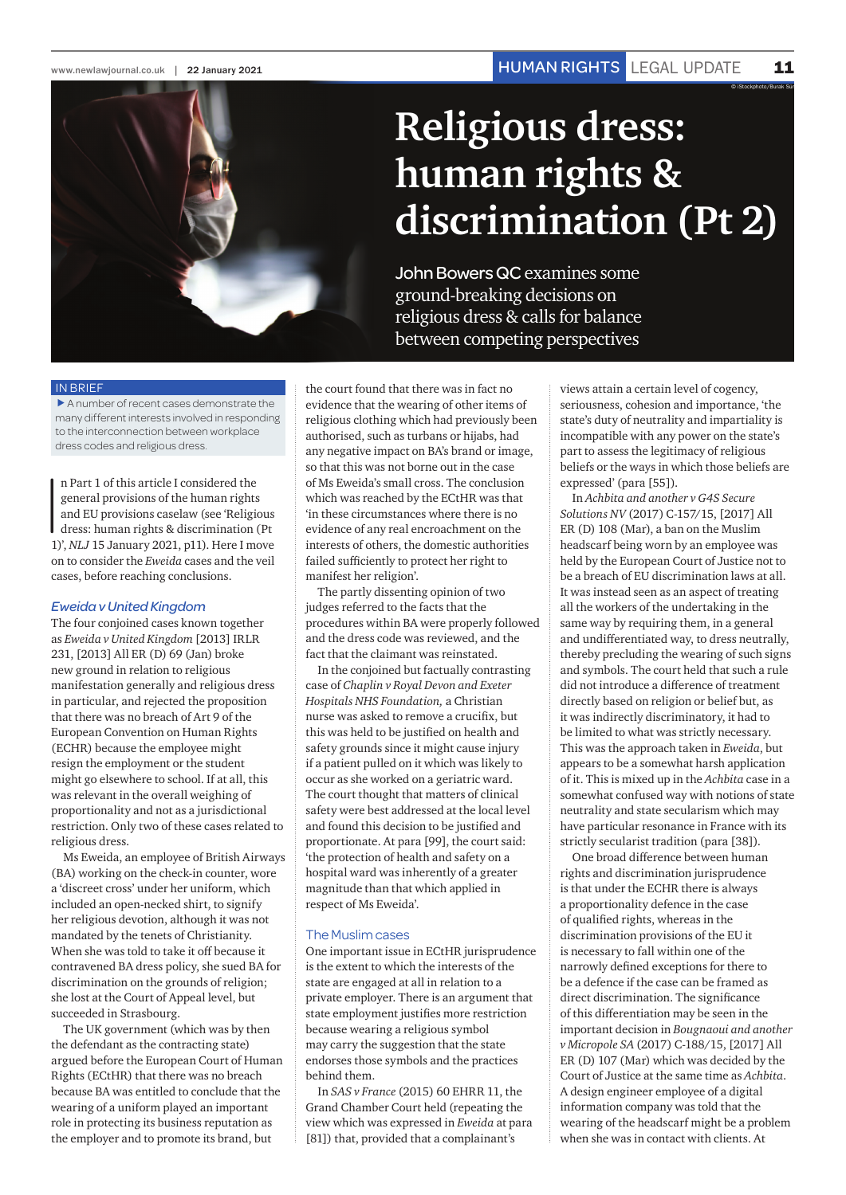© iStockphoto/Burak Sür



# **Religious dress: human rights & discrimination (Pt 2)**

John Bowers QC examines some ground-breaking decisions on religious dress & calls for balance between competing perspectives

### IN BRIEF

 $\blacktriangleright$  A number of recent cases demonstrate the many different interests involved in responding to the interconnection between workplace dress codes and religious dress.

 $\begin{bmatrix} 1 \\ 0 \\ 1 \end{bmatrix}$ n Part 1 of this article I considered the general provisions of the human rights and EU provisions caselaw (see 'Religious dress: human rights & discrimination (Pt 1)', *NLJ* 15 January 2021, p11). Here I move on to consider the *Eweida* cases and the veil cases, before reaching conclusions.

#### *Eweida v United Kingdom*

The four conjoined cases known together as *Eweida v United Kingdom* [2013] IRLR 231, [2013] All ER (D) 69 (Jan) broke new ground in relation to religious manifestation generally and religious dress in particular, and rejected the proposition that there was no breach of Art 9 of the European Convention on Human Rights (ECHR) because the employee might resign the employment or the student might go elsewhere to school. If at all, this was relevant in the overall weighing of proportionality and not as a jurisdictional restriction. Only two of these cases related to religious dress.

Ms Eweida, an employee of British Airways (BA) working on the check-in counter, wore a 'discreet cross' under her uniform, which included an open-necked shirt, to signify her religious devotion, although it was not mandated by the tenets of Christianity. When she was told to take it off because it contravened BA dress policy, she sued BA for discrimination on the grounds of religion; she lost at the Court of Appeal level, but succeeded in Strasbourg.

The UK government (which was by then the defendant as the contracting state) argued before the European Court of Human Rights (ECtHR) that there was no breach because BA was entitled to conclude that the wearing of a uniform played an important role in protecting its business reputation as the employer and to promote its brand, but

the court found that there was in fact no evidence that the wearing of other items of religious clothing which had previously been authorised, such as turbans or hijabs, had any negative impact on BA's brand or image, so that this was not borne out in the case of Ms Eweida's small cross. The conclusion which was reached by the ECtHR was that 'in these circumstances where there is no evidence of any real encroachment on the interests of others, the domestic authorities failed sufficiently to protect her right to manifest her religion'.

The partly dissenting opinion of two judges referred to the facts that the procedures within BA were properly followed and the dress code was reviewed, and the fact that the claimant was reinstated.

In the conjoined but factually contrasting case of *Chaplin v Royal Devon and Exeter Hospitals NHS Foundation,* a Christian nurse was asked to remove a crucifix, but this was held to be justified on health and safety grounds since it might cause injury if a patient pulled on it which was likely to occur as she worked on a geriatric ward. The court thought that matters of clinical safety were best addressed at the local level and found this decision to be justified and proportionate. At para [99], the court said: 'the protection of health and safety on a hospital ward was inherently of a greater magnitude than that which applied in respect of Ms Eweida'.

#### The Muslim cases

One important issue in ECtHR jurisprudence is the extent to which the interests of the state are engaged at all in relation to a private employer. There is an argument that state employment justifies more restriction because wearing a religious symbol may carry the suggestion that the state endorses those symbols and the practices behind them.

In *SAS v France* (2015) 60 EHRR 11, the Grand Chamber Court held (repeating the view which was expressed in *Eweida* at para [81]) that, provided that a complainant's

views attain a certain level of cogency, seriousness, cohesion and importance, 'the state's duty of neutrality and impartiality is incompatible with any power on the state's part to assess the legitimacy of religious beliefs or the ways in which those beliefs are expressed' (para [55]).

In *Achbita and another v G4S Secure Solutions NV* (2017) C-157/15, [2017] All ER (D) 108 (Mar), a ban on the Muslim headscarf being worn by an employee was held by the European Court of Justice not to be a breach of EU discrimination laws at all. It was instead seen as an aspect of treating all the workers of the undertaking in the same way by requiring them, in a general and undifferentiated way, to dress neutrally, thereby precluding the wearing of such signs and symbols. The court held that such a rule did not introduce a difference of treatment directly based on religion or belief but, as it was indirectly discriminatory, it had to be limited to what was strictly necessary. This was the approach taken in *Eweida*, but appears to be a somewhat harsh application of it. This is mixed up in the *Achbita* case in a somewhat confused way with notions of state neutrality and state secularism which may have particular resonance in France with its strictly secularist tradition (para [38]).

One broad difference between human rights and discrimination jurisprudence is that under the ECHR there is always a proportionality defence in the case of qualified rights, whereas in the discrimination provisions of the EU it is necessary to fall within one of the narrowly defined exceptions for there to be a defence if the case can be framed as direct discrimination. The significance of this differentiation may be seen in the important decision in *Bougnaoui and another v Micropole SA* (2017) C-188/15, [2017] All ER (D) 107 (Mar) which was decided by the Court of Justice at the same time as *Achbita*. A design engineer employee of a digital information company was told that the wearing of the headscarf might be a problem when she was in contact with clients. At